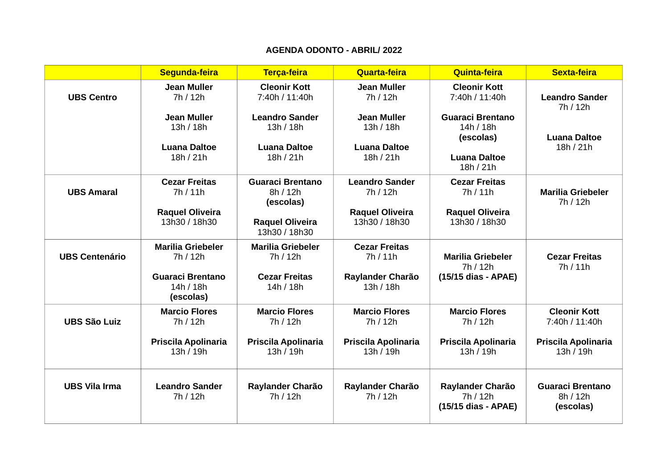## **AGENDA ODONTO - ABRIL/ 2022**

|                       | Segunda-feira                                                   | Terça-feira                                                  | Quarta-feira                            | Quinta-feira                                        | Sexta-feira                                      |
|-----------------------|-----------------------------------------------------------------|--------------------------------------------------------------|-----------------------------------------|-----------------------------------------------------|--------------------------------------------------|
| <b>UBS Centro</b>     | <b>Jean Muller</b><br>7h / 12h                                  | <b>Cleonir Kott</b><br>7:40h / 11:40h                        | <b>Jean Muller</b><br>7h / 12h          | <b>Cleonir Kott</b><br>7:40h / 11:40h               | <b>Leandro Sander</b><br>7h / 12h                |
|                       | <b>Jean Muller</b><br>13h / 18h                                 | <b>Leandro Sander</b><br>13h / 18h                           | <b>Jean Muller</b><br>13h / 18h         | <b>Guaraci Brentano</b><br>14h / 18h<br>(escolas)   | <b>Luana Daltoe</b>                              |
|                       | <b>Luana Daltoe</b><br>18h / 21h                                | <b>Luana Daltoe</b><br>18h / 21h                             | <b>Luana Daltoe</b><br>18h / 21h        | <b>Luana Daltoe</b><br>18h / 21h                    | 18h / 21h                                        |
| <b>UBS Amaral</b>     | <b>Cezar Freitas</b><br>7h/11h                                  | <b>Guaraci Brentano</b><br>8h / 12h<br>(escolas)             | <b>Leandro Sander</b><br>7h / 12h       | <b>Cezar Freitas</b><br>7h/11h                      | <b>Marilia Griebeler</b><br>7h / 12h             |
|                       | <b>Raquel Oliveira</b><br>13h30 / 18h30                         | <b>Raquel Oliveira</b><br>13h30 / 18h30                      | <b>Raquel Oliveira</b><br>13h30 / 18h30 | <b>Raquel Oliveira</b><br>13h30 / 18h30             |                                                  |
| <b>UBS Centenário</b> | <b>Marilia Griebeler</b><br>7h / 12h<br><b>Guaraci Brentano</b> | <b>Marilia Griebeler</b><br>7h / 12h<br><b>Cezar Freitas</b> | <b>Cezar Freitas</b><br>7h/11h          | <b>Marilia Griebeler</b><br>7h / 12h                | <b>Cezar Freitas</b><br>7h/11h                   |
|                       | 14h / 18h<br>(escolas)                                          | 14h / 18h                                                    | Raylander Charão<br>13h / 18h           | (15/15 dias - APAE)                                 |                                                  |
| <b>UBS São Luiz</b>   | <b>Marcio Flores</b><br>7h / 12h                                | <b>Marcio Flores</b><br>7h / 12h                             | <b>Marcio Flores</b><br>7h / 12h        | <b>Marcio Flores</b><br>7h / 12h                    | <b>Cleonir Kott</b><br>7:40h / 11:40h            |
|                       | Priscila Apolinaria<br>13h / 19h                                | Priscila Apolinaria<br>13h / 19h                             | Priscila Apolinaria<br>13h / 19h        | Priscila Apolinaria<br>13h / 19h                    | Priscila Apolinaria<br>13h / 19h                 |
| <b>UBS Vila Irma</b>  | <b>Leandro Sander</b><br>7h / 12h                               | Raylander Charão<br>7h / 12h                                 | Raylander Charão<br>7h / 12h            | Raylander Charão<br>7h / 12h<br>(15/15 dias - APAE) | <b>Guaraci Brentano</b><br>8h / 12h<br>(escolas) |